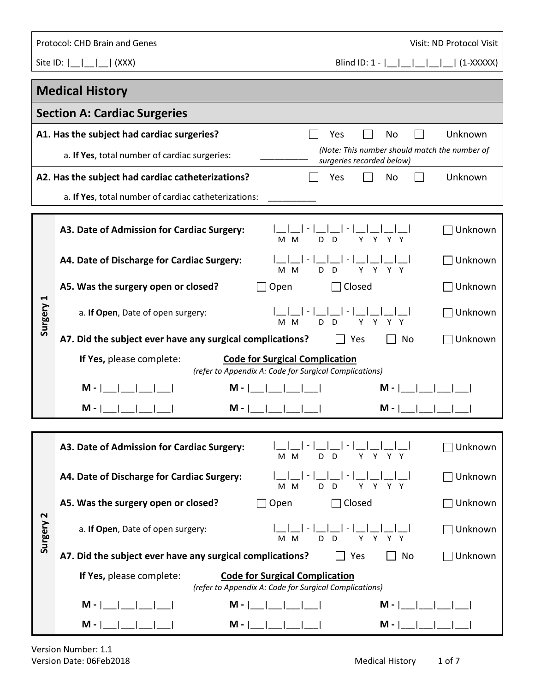|           | Protocol: CHD Brain and Genes<br>Visit: ND Protocol Visit                                                                   |  |  |  |  |  |  |
|-----------|-----------------------------------------------------------------------------------------------------------------------------|--|--|--|--|--|--|
|           | Site ID: $\begin{array}{ c c c c c c } \hline \end{array}$ (XXX)                                                            |  |  |  |  |  |  |
|           | <b>Medical History</b>                                                                                                      |  |  |  |  |  |  |
|           | <b>Section A: Cardiac Surgeries</b>                                                                                         |  |  |  |  |  |  |
|           | A1. Has the subject had cardiac surgeries?<br>Unknown<br>Yes<br>No                                                          |  |  |  |  |  |  |
|           | (Note: This number should match the number of<br>a. If Yes, total number of cardiac surgeries:<br>surgeries recorded below) |  |  |  |  |  |  |
|           | A2. Has the subject had cardiac catheterizations?<br>Unknown<br>Yes<br>No                                                   |  |  |  |  |  |  |
|           | a. If Yes, total number of cardiac catheterizations:                                                                        |  |  |  |  |  |  |
|           | A3. Date of Admission for Cardiac Surgery:<br>Unknown<br>M M<br>D<br>$\mathsf{D}$<br>Y<br>Y<br>Υ                            |  |  |  |  |  |  |
|           | A4. Date of Discharge for Cardiac Surgery:<br>Unknown<br>Y Y Y Y<br>M M<br>D.<br>D                                          |  |  |  |  |  |  |
|           | A5. Was the surgery open or closed?<br>Unknown<br>Closed<br>Open                                                            |  |  |  |  |  |  |
| Surgery 1 | Unknown<br>a. If Open, Date of open surgery:<br>Y<br>M M<br>D.<br>D.<br>Y.<br>Y Y                                           |  |  |  |  |  |  |
|           | A7. Did the subject ever have any surgical complications?<br>Unknown<br>No<br>Yes                                           |  |  |  |  |  |  |
|           | <b>Code for Surgical Complication</b><br>If Yes, please complete:<br>(refer to Appendix A: Code for Surgical Complications) |  |  |  |  |  |  |
|           | M - I<br>$M -$<br>M -                                                                                                       |  |  |  |  |  |  |
|           | M -<br>M - I<br>M -                                                                                                         |  |  |  |  |  |  |
|           |                                                                                                                             |  |  |  |  |  |  |
|           | Unknown<br>A3. Date of Admission for Cardiac Surgery:<br>D<br>Y<br>M M<br>D<br>Y<br>Y.                                      |  |  |  |  |  |  |
|           | A4. Date of Discharge for Cardiac Surgery:<br>Unknown<br>Y<br>Y.<br>Y Y<br>M M<br>D.<br>D                                   |  |  |  |  |  |  |
|           | A5. Was the surgery open or closed?<br>Closed<br>Unknown<br>Open                                                            |  |  |  |  |  |  |
| Surgery 2 | a. If Open, Date of open surgery:<br>Unknown<br>Y<br>D<br>Y<br>Υ<br>M<br>D<br>Υ<br>м                                        |  |  |  |  |  |  |
|           | A7. Did the subject ever have any surgical complications?<br>Unknown<br>Yes<br>No                                           |  |  |  |  |  |  |
|           | <b>Code for Surgical Complication</b><br>If Yes, please complete:<br>(refer to Appendix A: Code for Surgical Complications) |  |  |  |  |  |  |
|           | $M -$  <br>$M - 1$<br>$M -  $                                                                                               |  |  |  |  |  |  |
|           | $M -$<br>$M -  $<br>$M -  $ $ $                                                                                             |  |  |  |  |  |  |

I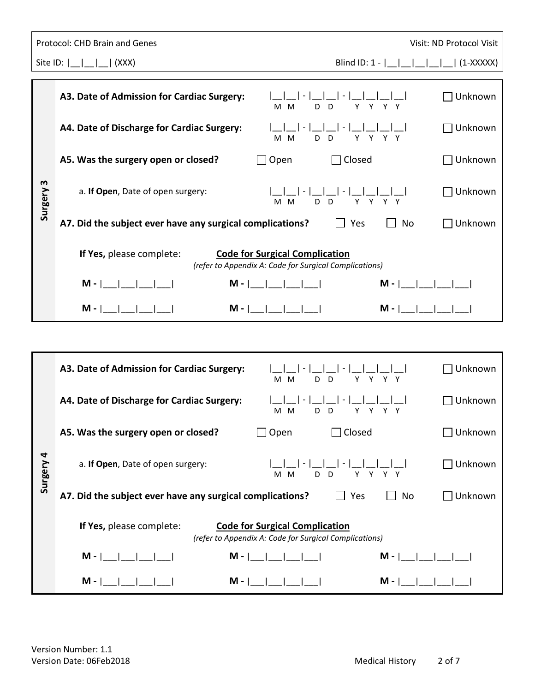|              | Protocol: CHD Brain and Genes                                                                                               | Visit: ND Protocol Visit |
|--------------|-----------------------------------------------------------------------------------------------------------------------------|--------------------------|
|              | Site ID: $\begin{bmatrix} 1 \\ -1 \end{bmatrix}$ (XXX)                                                                      |                          |
|              | A3. Date of Admission for Cardiac Surgery:<br>Y Y Y Y<br>M M<br>D<br>D                                                      | Unknown                  |
|              | A4. Date of Discharge for Cardiac Surgery:<br>Y Y Y Y<br>D<br>D<br>M M                                                      | Unknown                  |
|              | A5. Was the surgery open or closed?<br>Closed<br>Open                                                                       | Unknown                  |
| m<br>Surgery | a. If Open, Date of open surgery:<br>$\mathsf{I}$ – $\mathsf{I}$<br>Y Y Y Y<br>M M<br>D D                                   | Unknown                  |
|              | A7. Did the subject ever have any surgical complications?<br>Yes<br>No                                                      | Unknown                  |
|              | If Yes, please complete:<br><b>Code for Surgical Complication</b><br>(refer to Appendix A: Code for Surgical Complications) |                          |
|              | $M -  $ $ $ $ $ $ $ $ $ $ $ $ $ $ $<br>$M -      $<br>$M -          $                                                       |                          |
|              | $M -        $<br>$M -  $<br>$M - I$                                                                                         |                          |

| Surgery 3 | a. If Open, Date of open surgery:<br>D<br>D<br>Y.<br>Y<br>M M<br>Y                                                          | Unknown                                |
|-----------|-----------------------------------------------------------------------------------------------------------------------------|----------------------------------------|
|           | A7. Did the subject ever have any surgical complications?<br>Yes<br>No                                                      | Unknown                                |
|           | If Yes, please complete:<br><b>Code for Surgical Complication</b><br>(refer to Appendix A: Code for Surgical Complications) |                                        |
|           | $M -  $ $ $ $ $ $ $ $ $ $ $ $ $ $ $ $ $                                                                                     | $M -  $ $ $ $ $ $ $ $ $ $ $ $ $ $ $    |
|           | $M -  $ __ __ __ __ <br>$M -  $ __ __ __ __                                                                                 |                                        |
|           |                                                                                                                             |                                        |
|           | A3. Date of Admission for Cardiac Surgery:<br>D <sub>D</sub><br>Y Y Y Y<br>M M                                              | Unknown                                |
|           | A4. Date of Discharge for Cardiac Surgery:<br>$\sim$<br>D <sub>D</sub><br>Y Y Y Y<br>M M                                    | Unknown                                |
|           | A5. Was the surgery open or closed?<br>$\Box$ Open<br>$\sqcap$ Closed                                                       | Unknown                                |
| Surgery 4 | a. If Open, Date of open surgery:<br>M M<br>D D<br>Y Y Y Y                                                                  | Unknown                                |
|           | A7. Did the subject ever have any surgical complications?<br>Yes<br>No                                                      | Unknown                                |
|           | If Yes, please complete:<br><b>Code for Surgical Complication</b><br>(refer to Appendix A: Code for Surgical Complications) |                                        |
|           | $M -        $<br>$M -          $<br>$M - 1$                                                                                 | $\mathbf{1}$ $\mathbf{1}$ $\mathbf{1}$ |
|           | $M -  $<br>$M -$<br>$M -$                                                                                                   |                                        |
|           |                                                                                                                             |                                        |
|           |                                                                                                                             |                                        |
|           | Version Number: 1.1<br><b>Medical History</b><br>Version Date: 06Feb2018                                                    | 2 of 7                                 |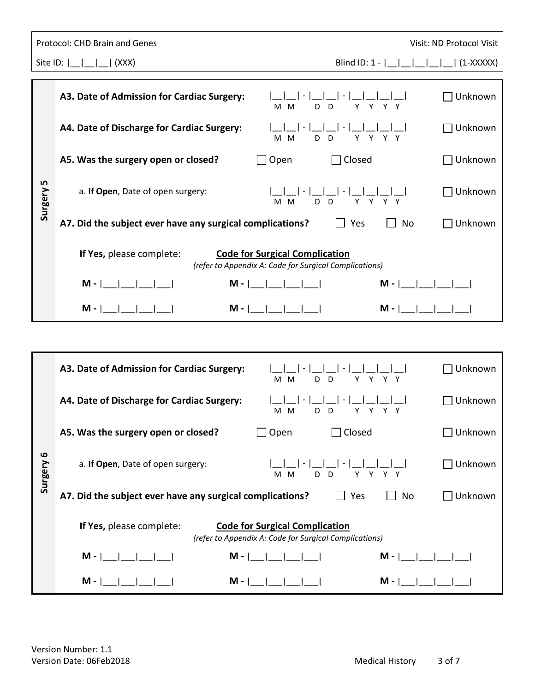|                | Protocol: CHD Brain and Genes                                                                                                       | Visit: ND Protocol Visit |
|----------------|-------------------------------------------------------------------------------------------------------------------------------------|--------------------------|
|                | Site ID: $\begin{bmatrix} 1 \\ -1 \end{bmatrix}$ (XXX)                                                                              |                          |
|                | A3. Date of Admission for Cardiac Surgery:<br>$ - $ $ $ $ $<br>Y Y Y Y<br>M M<br>D D                                                | Unknown                  |
|                | A4. Date of Discharge for Cardiac Surgery:<br>$\vert - \vert$<br>Y Y Y Y<br>M M<br>D.<br>D                                          | Unknown                  |
|                | A5. Was the surgery open or closed?<br>Closed<br>Open                                                                               | Unknown                  |
| LN,<br>Surgery | a. If Open, Date of open surgery:<br>-11-1-11<br>Y Y Y Y<br>D D<br>M M                                                              | Unknown                  |
|                | A7. Did the subject ever have any surgical complications?<br>Yes<br>No                                                              | Unknown                  |
|                | If Yes, please complete:<br><b>Code for Surgical Complication</b><br>(refer to Appendix A: Code for Surgical Complications)         |                          |
|                | $M -        $<br>$M -      $                                                                                                        |                          |
|                | $\begin{array}{ccc} \end{array}$ $\begin{array}{ccc} \end{array}$ $\begin{array}{ccc} \end{array}$<br>$M -  $<br>$M - I$<br>$M -  $ |                          |

| Surgery 5 | a. If Open, Date of open surgery:<br>D<br>D<br>Y.<br>Y<br>M M<br>Y                                                          | Unknown |
|-----------|-----------------------------------------------------------------------------------------------------------------------------|---------|
|           | A7. Did the subject ever have any surgical complications?<br>No<br>Yes                                                      | Unknown |
|           | If Yes, please complete:<br><b>Code for Surgical Complication</b><br>(refer to Appendix A: Code for Surgical Complications) |         |
|           | $M -          $<br>$M -        $<br>$M -          $                                                                         |         |
|           | $M -  $ $ $<br>$M -  $ __ __ __ __ __                                                                                       |         |
|           |                                                                                                                             |         |
|           | A3. Date of Admission for Cardiac Surgery:<br>D <sub>D</sub><br>Y Y Y Y<br>M M                                              | Unknown |
|           | A4. Date of Discharge for Cardiac Surgery:<br>Y Y Y Y<br>D<br>D<br>M M                                                      | Unknown |
|           | A5. Was the surgery open or closed?<br>Open<br>closed                                                                       | Unknown |
| Surgery 6 | a. If Open, Date of open surgery:<br>M M<br>D D<br>Y Y Y Y                                                                  | Unknown |
|           | A7. Did the subject ever have any surgical complications?<br>No<br>Yes                                                      | Unknown |
|           | If Yes, please complete:<br><b>Code for Surgical Complication</b><br>(refer to Appendix A: Code for Surgical Complications) |         |
|           | $-1$ $-1$ $-1$<br>$M -        $<br>$M - 1$<br>$M - 1$                                                                       |         |
|           | $M -$<br>$M -$<br>$M -  $                                                                                                   |         |
|           |                                                                                                                             |         |
|           |                                                                                                                             |         |
|           | Version Number: 1.1<br>Version Date: 06Feb2018<br><b>Medical History</b>                                                    | 3 of 7  |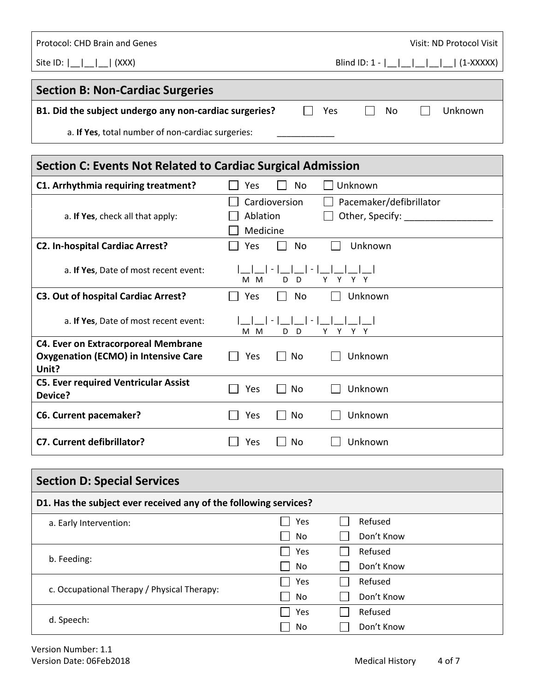| Protocol: CHD Brain and Genes<br>Visit: ND Protocol Visit |                       |
|-----------------------------------------------------------|-----------------------|
|                                                           |                       |
| <b>Section B: Non-Cardiac Surgeries</b>                   |                       |
| B1. Did the subject undergo any non-cardiac surgeries?    | Yes<br>No.<br>Unknown |

a. If Yes, total number of non-cardiac surgeries:

| Section C: Events Not Related to Cardiac Surgical Admission |                                                                                     |  |  |  |
|-------------------------------------------------------------|-------------------------------------------------------------------------------------|--|--|--|
| C1. Arrhythmia requiring treatment?                         | Unknown<br>Yes<br>No.                                                               |  |  |  |
| a. If Yes, check all that apply:                            | Cardioversion<br>Pacemaker/defibrillator<br>Other, Specify:<br>Ablation<br>Medicine |  |  |  |
| <b>C2. In-hospital Cardiac Arrest?</b>                      | Yes<br>Unknown<br>No                                                                |  |  |  |
| a. If Yes, Date of most recent event:                       | $\overline{\phantom{a}}$<br>Y<br>D<br>Y Y<br>M M<br>D                               |  |  |  |
| <b>C3. Out of hospital Cardiac Arrest?</b>                  | Unknown<br>Yes<br>No                                                                |  |  |  |
| a. If Yes, Date of most recent event:                       | M M<br>D<br>Y<br>D.<br>Y<br>Y Y                                                     |  |  |  |
| <b>C4. Ever on Extracorporeal Membrane</b>                  |                                                                                     |  |  |  |
| <b>Oxygenation (ECMO) in Intensive Care</b><br>Unit?        | Yes<br>No<br>Unknown                                                                |  |  |  |
| <b>C5. Ever required Ventricular Assist</b><br>Device?      | Yes<br>Unknown<br>No                                                                |  |  |  |
| <b>C6. Current pacemaker?</b>                               | Unknown<br>Yes<br>No                                                                |  |  |  |
| <b>C7. Current defibrillator?</b>                           | Unknown<br>Yes<br>No                                                                |  |  |  |

| <b>Section D: Special Services</b>                               |     |            |  |  |
|------------------------------------------------------------------|-----|------------|--|--|
| D1. Has the subject ever received any of the following services? |     |            |  |  |
| a. Early Intervention:                                           | Yes | Refused    |  |  |
|                                                                  | No  | Don't Know |  |  |
|                                                                  | Yes | Refused    |  |  |
| b. Feeding:                                                      | No  | Don't Know |  |  |
|                                                                  | Yes | Refused    |  |  |
| c. Occupational Therapy / Physical Therapy:                      | No  | Don't Know |  |  |
|                                                                  | Yes | Refused    |  |  |
| d. Speech:                                                       | No  | Don't Know |  |  |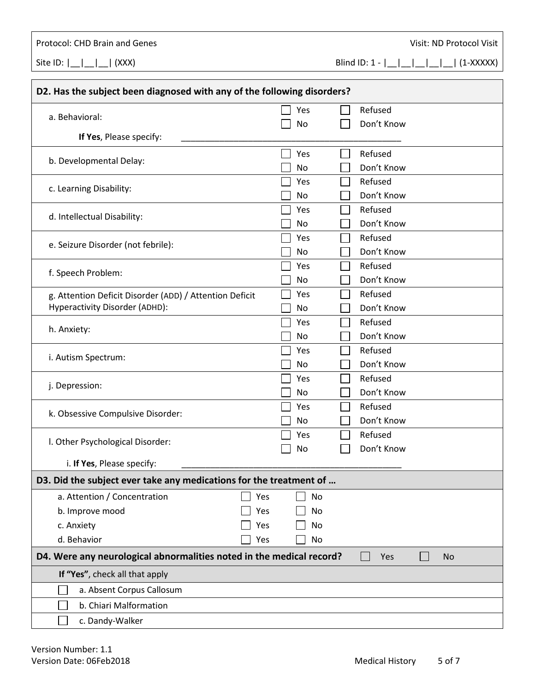Protocol: CHD Brain and Genes **Visit: ND Protocol Visit: ND Protocol Visit** 

Site ID:  $|\_| = |\_| = |\_|$  (XXX) Blind ID: 1 -  $|\_| = |\_| = |\_| = |\_|$  (1-XXXXX)

| D2. Has the subject been diagnosed with any of the following disorders?                  |     |  |     |                          |            |  |  |
|------------------------------------------------------------------------------------------|-----|--|-----|--------------------------|------------|--|--|
| a. Behavioral:                                                                           |     |  | Yes |                          | Refused    |  |  |
|                                                                                          |     |  | No  |                          | Don't Know |  |  |
| If Yes, Please specify:                                                                  |     |  |     |                          |            |  |  |
| b. Developmental Delay:                                                                  |     |  | Yes |                          | Refused    |  |  |
|                                                                                          |     |  | No  |                          | Don't Know |  |  |
| c. Learning Disability:                                                                  |     |  | Yes | $\overline{\phantom{a}}$ | Refused    |  |  |
|                                                                                          |     |  | No. |                          | Don't Know |  |  |
| d. Intellectual Disability:                                                              |     |  | Yes | <b>Contract</b>          | Refused    |  |  |
|                                                                                          |     |  | No  |                          | Don't Know |  |  |
| e. Seizure Disorder (not febrile):                                                       |     |  | Yes |                          | Refused    |  |  |
|                                                                                          |     |  | No  |                          | Don't Know |  |  |
| f. Speech Problem:                                                                       |     |  | Yes | $\overline{\phantom{a}}$ | Refused    |  |  |
|                                                                                          |     |  | No  |                          | Don't Know |  |  |
| g. Attention Deficit Disorder (ADD) / Attention Deficit                                  |     |  | Yes | L                        | Refused    |  |  |
| Hyperactivity Disorder (ADHD):                                                           |     |  | No  |                          | Don't Know |  |  |
| h. Anxiety:                                                                              |     |  | Yes |                          | Refused    |  |  |
|                                                                                          |     |  | No  |                          | Don't Know |  |  |
| i. Autism Spectrum:                                                                      |     |  | Yes |                          | Refused    |  |  |
|                                                                                          |     |  | No  |                          | Don't Know |  |  |
| j. Depression:                                                                           |     |  | Yes | $\Box$                   | Refused    |  |  |
|                                                                                          |     |  | No  |                          | Don't Know |  |  |
| k. Obsessive Compulsive Disorder:                                                        |     |  | Yes |                          | Refused    |  |  |
|                                                                                          |     |  | No  |                          | Don't Know |  |  |
| I. Other Psychological Disorder:                                                         |     |  | Yes |                          | Refused    |  |  |
|                                                                                          |     |  | No  |                          | Don't Know |  |  |
| i. If Yes, Please specify:                                                               |     |  |     |                          |            |  |  |
| D3. Did the subject ever take any medications for the treatment of                       |     |  |     |                          |            |  |  |
| a. Attention / Concentration                                                             | Yes |  | No  |                          |            |  |  |
| b. Improve mood                                                                          | Yes |  | No  |                          |            |  |  |
| c. Anxiety                                                                               | Yes |  | No  |                          |            |  |  |
| d. Behavior                                                                              | Yes |  | No  |                          |            |  |  |
| D4. Were any neurological abnormalities noted in the medical record?<br>Yes<br><b>No</b> |     |  |     |                          |            |  |  |
| If "Yes", check all that apply                                                           |     |  |     |                          |            |  |  |
| a. Absent Corpus Callosum                                                                |     |  |     |                          |            |  |  |
| b. Chiari Malformation                                                                   |     |  |     |                          |            |  |  |
| c. Dandy-Walker                                                                          |     |  |     |                          |            |  |  |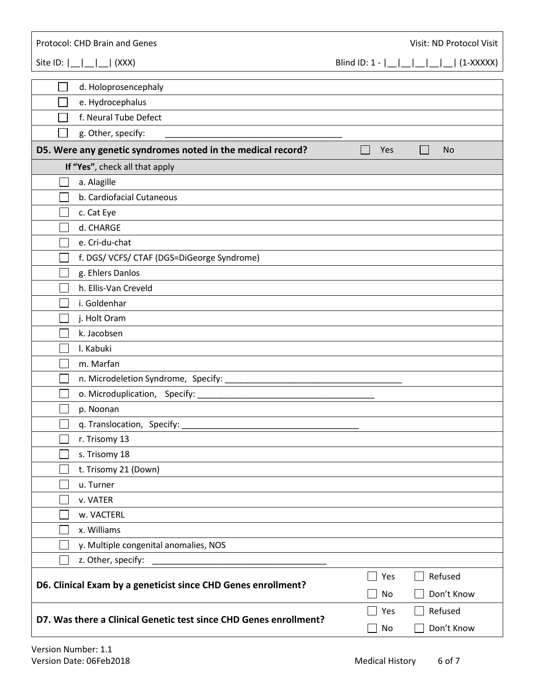| Protocol: CHD Brain and Genes<br>Visit: ND Protocol Visit         |                                                                     |  |  |  |  |
|-------------------------------------------------------------------|---------------------------------------------------------------------|--|--|--|--|
| Site ID: $\lfloor$ $\lfloor$ $\rfloor$<br>$\vert$ (XXX)           | Blind ID: $1 -  $ $ $ $ $ $ $ $ $ $ $<br>$\left  \right $ (1-XXXXX) |  |  |  |  |
| d. Holoprosencephaly                                              |                                                                     |  |  |  |  |
| e. Hydrocephalus                                                  |                                                                     |  |  |  |  |
| f. Neural Tube Defect                                             |                                                                     |  |  |  |  |
| g. Other, specify:                                                |                                                                     |  |  |  |  |
| D5. Were any genetic syndromes noted in the medical record?       | Yes<br><b>No</b>                                                    |  |  |  |  |
| If "Yes", check all that apply                                    |                                                                     |  |  |  |  |
| a. Alagille                                                       |                                                                     |  |  |  |  |
| b. Cardiofacial Cutaneous                                         |                                                                     |  |  |  |  |
| c. Cat Eye                                                        |                                                                     |  |  |  |  |
| d. CHARGE                                                         |                                                                     |  |  |  |  |
| e. Cri-du-chat                                                    |                                                                     |  |  |  |  |
| f. DGS/VCFS/CTAF (DGS=DiGeorge Syndrome)                          |                                                                     |  |  |  |  |
| g. Ehlers Danlos                                                  |                                                                     |  |  |  |  |
| h. Ellis-Van Creveld                                              |                                                                     |  |  |  |  |
| i. Goldenhar                                                      |                                                                     |  |  |  |  |
| j. Holt Oram                                                      |                                                                     |  |  |  |  |
| k. Jacobsen                                                       |                                                                     |  |  |  |  |
| I. Kabuki                                                         |                                                                     |  |  |  |  |
| m. Marfan                                                         |                                                                     |  |  |  |  |
|                                                                   |                                                                     |  |  |  |  |
|                                                                   |                                                                     |  |  |  |  |
| p. Noonan                                                         |                                                                     |  |  |  |  |
| $\Box$<br>q. Translocation, Specify:                              |                                                                     |  |  |  |  |
| r. Trisomy 13                                                     |                                                                     |  |  |  |  |
| s. Trisomy 18                                                     |                                                                     |  |  |  |  |
| t. Trisomy 21 (Down)                                              |                                                                     |  |  |  |  |
| u. Turner                                                         |                                                                     |  |  |  |  |
| v. VATER                                                          |                                                                     |  |  |  |  |
| w. VACTERL                                                        |                                                                     |  |  |  |  |
| x. Williams                                                       |                                                                     |  |  |  |  |
| y. Multiple congenital anomalies, NOS                             |                                                                     |  |  |  |  |
| z. Other, specify:                                                |                                                                     |  |  |  |  |
| Refused<br>Yes<br>$\blacksquare$                                  |                                                                     |  |  |  |  |
| D6. Clinical Exam by a geneticist since CHD Genes enrollment?     | Don't Know<br>No                                                    |  |  |  |  |
|                                                                   | Refused<br>Yes                                                      |  |  |  |  |
| D7. Was there a Clinical Genetic test since CHD Genes enrollment? | Don't Know<br>No                                                    |  |  |  |  |
|                                                                   |                                                                     |  |  |  |  |